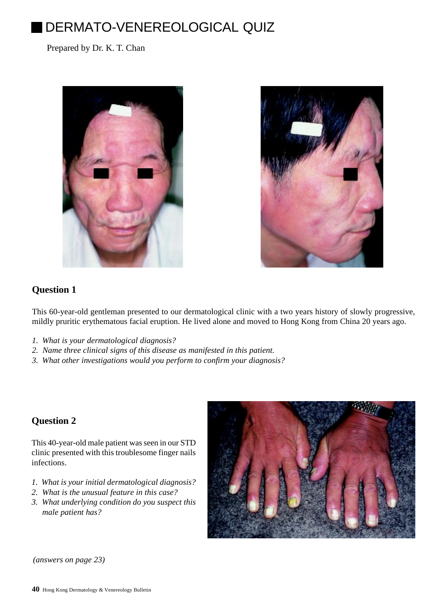# DERMATO-VENEREOLOGICAL QUIZ

Prepared by Dr. K. T. Chan





## **Question 1**

This 60-year-old gentleman presented to our dermatological clinic with a two years history of slowly progressive, mildly pruritic erythematous facial eruption. He lived alone and moved to Hong Kong from China 20 years ago.

- *1. What is your dermatological diagnosis?*
- *2. Name three clinical signs of this disease as manifested in this patient.*
- *3. What other investigations would you perform to confirm your diagnosis?*

## **Question 2**

This 40-year-old male patient was seen in our STD clinic presented with this troublesome finger nails infections.

- *1. What is your initial dermatological diagnosis?*
- *2. What is the unusual feature in this case?*
- *3. What underlying condition do you suspect this male patient has?*



*(answers on page 23)*